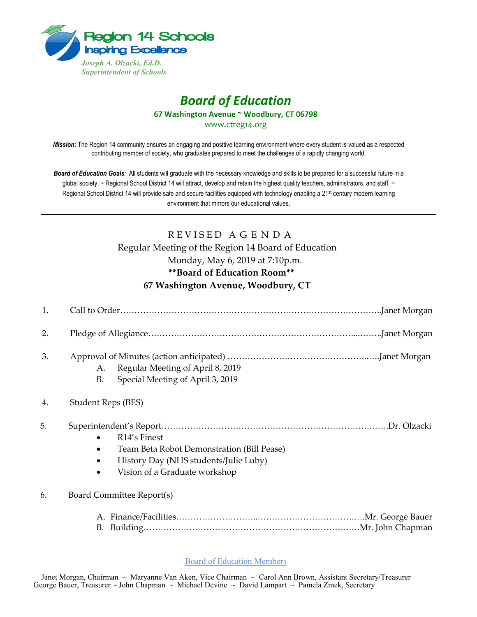

# *Board of Education* **67 Washington Avenue ~ Woodbury, CT 06798**

www.ctreg14.org

*Mission:* The Region 14 community ensures an engaging and positive learning environment where every student is valued as a respected contributing member of society, who graduates prepared to meet the challenges of a rapidly changing world.

*Board of Education Goals:* All students will graduate with the necessary knowledge and skills to be prepared for a successful future in a global society. ~ Regional School District 14 will attract, develop and retain the highest quality teachers, administrators, and staff. ~ Regional School District 14 will provide safe and secure facilities equipped with technology enabling a 21<sup>st</sup> century modern learning environment that mirrors our educational values.

## REVISED AGENDA Regular Meeting of the Region 14 Board of Education Monday, May 6, 2019 at 7:10p.m. **\*\*Board of Education Room\*\* 67 Washington Avenue, Woodbury, CT**

| 1. |                                                                                                                                                               |
|----|---------------------------------------------------------------------------------------------------------------------------------------------------------------|
| 2. |                                                                                                                                                               |
| 3. | Regular Meeting of April 8, 2019<br>А.<br>Special Meeting of April 3, 2019<br><b>B.</b>                                                                       |
| 4. | Student Reps (BES)                                                                                                                                            |
| 5. | R <sub>14</sub> ' <sub>s</sub> Finest<br>Team Beta Robot Demonstration (Bill Pease)<br>History Day (NHS students/Julie Luby)<br>Vision of a Graduate workshop |
| 6. | Board Committee Report(s)                                                                                                                                     |
|    |                                                                                                                                                               |

Board of Education Members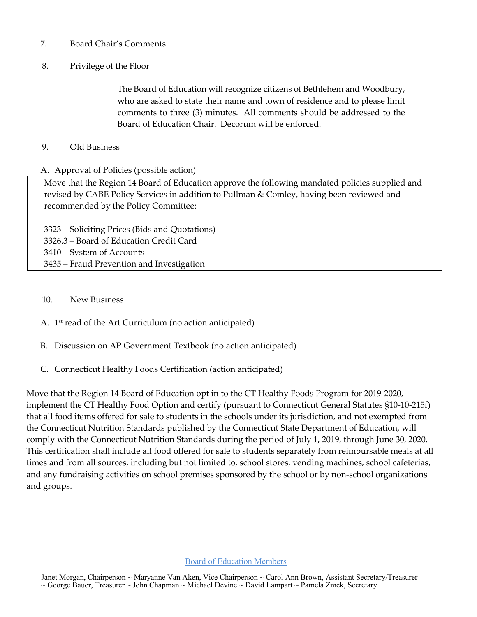- 7. Board Chair's Comments
- 8. Privilege of the Floor

The Board of Education will recognize citizens of Bethlehem and Woodbury, who are asked to state their name and town of residence and to please limit comments to three (3) minutes. All comments should be addressed to the Board of Education Chair. Decorum will be enforced.

#### 9. Old Business

#### A. Approval of Policies (possible action)

Move that the Region 14 Board of Education approve the following mandated policies supplied and revised by CABE Policy Services in addition to Pullman & Comley, having been reviewed and recommended by the Policy Committee:

 – Soliciting Prices (Bids and Quotations) 3326.3 – Board of Education Credit Card – System of Accounts – Fraud Prevention and Investigation

- 10. New Business
- A. 1st read of the Art Curriculum (no action anticipated)
- B. Discussion on AP Government Textbook (no action anticipated)
- C. Connecticut Healthy Foods Certification (action anticipated)

Move that the Region 14 Board of Education opt in to the CT Healthy Foods Program for 2019-2020, implement the CT Healthy Food Option and certify (pursuant to Connecticut General Statutes §10-10-215f) that all food items offered for sale to students in the schools under its jurisdiction, and not exempted from the Connecticut Nutrition Standards published by the Connecticut State Department of Education, will comply with the Connecticut Nutrition Standards during the period of July 1, 2019, through June 30, 2020. This certification shall include all food offered for sale to students separately from reimbursable meals at all times and from all sources, including but not limited to, school stores, vending machines, school cafeterias, and any fundraising activities on school premises sponsored by the school or by non-school organizations and groups.